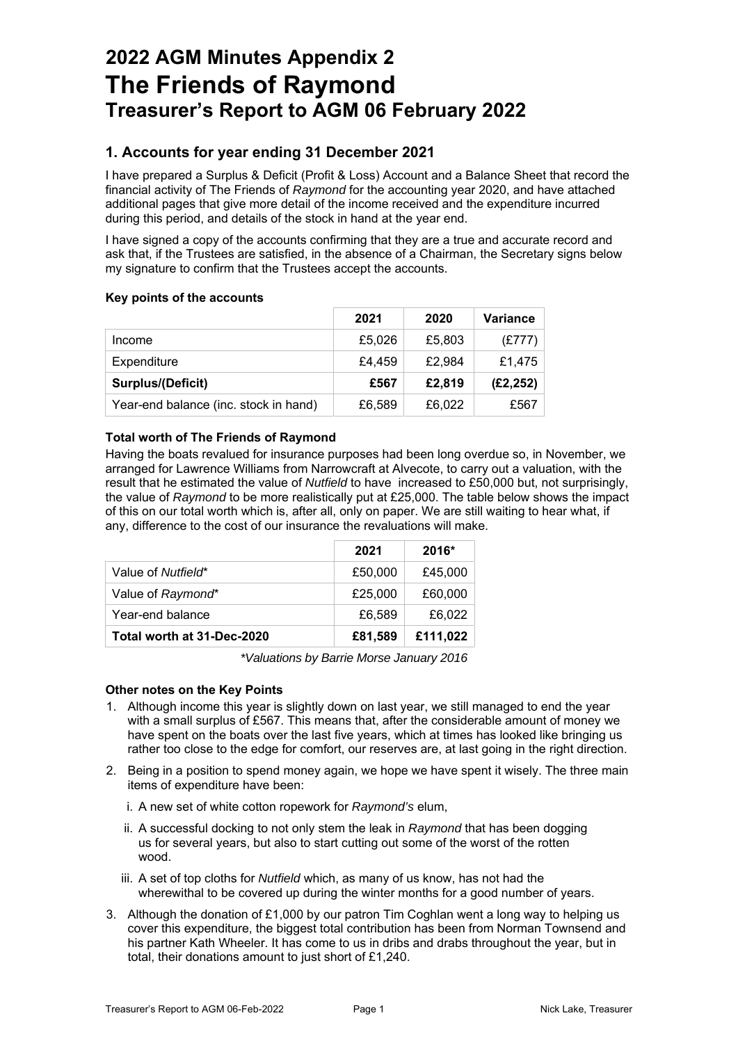# **The Friends of Raymond Treasurer's Report to AGM 06 February 2022 2022 AGM Minutes Appendix 2**

## **1. Accounts for year ending 31 December 2021**

I have prepared a Surplus & Deficit (Profit & Loss) Account and a Balance Sheet that record the financial activity of The Friends of *Raymond* for the accounting year 2020, and have attached additional pages that give more detail of the income received and the expenditure incurred during this period, and details of the stock in hand at the year end.

I have signed a copy of the accounts confirming that they are a true and accurate record and ask that, if the Trustees are satisfied, in the absence of a Chairman, the Secretary signs below my signature to confirm that the Trustees accept the accounts.

#### **Key points of the accounts**

|                                       | 2021   | 2020   | Variance  |
|---------------------------------------|--------|--------|-----------|
| Income                                | £5,026 | £5,803 | (E777)    |
| Expenditure                           | £4.459 | £2.984 | £1,475    |
| Surplus/(Deficit)                     | £567   | £2,819 | (E2, 252) |
| Year-end balance (inc. stock in hand) | £6,589 | £6,022 | £567      |

#### **Total worth of The Friends of Raymond**

Having the boats revalued for insurance purposes had been long overdue so, in November, we arranged for Lawrence Williams from Narrowcraft at Alvecote, to carry out a valuation, with the result that he estimated the value of *Nutfield* to have increased to £50,000 but, not surprisingly, the value of *Raymond* to be more realistically put at £25,000. The table below shows the impact of this on our total worth which is, after all, only on paper. We are still waiting to hear what, if any, difference to the cost of our insurance the revaluations will make.

|                            | 2021    | $2016*$  |
|----------------------------|---------|----------|
| Value of Nutfield*         | £50,000 | £45,000  |
| Value of Raymond*          | £25,000 | £60,000  |
| Year-end balance           | £6,589  | £6,022   |
| Total worth at 31-Dec-2020 | £81,589 | £111,022 |

*\*Valuations by Barrie Morse January 2016*

#### **Other notes on the Key Points**

- 1. Although income this year is slightly down on last year, we still managed to end the year with a small surplus of £567. This means that, after the considerable amount of money we have spent on the boats over the last five years, which at times has looked like bringing us rather too close to the edge for comfort, our reserves are, at last going in the right direction.
- 2. Being in a position to spend money again, we hope we have spent it wisely. The three main items of expenditure have been:
	- i. A new set of white cotton ropework for *Raymond's* elum,
	- ii. A successful docking to not only stem the leak in *Raymond* that has been dogging us for several years, but also to start cutting out some of the worst of the rotten wood.
	- iii. A set of top cloths for *Nutfield* which, as many of us know, has not had the wherewithal to be covered up during the winter months for a good number of years.
- 3. Although the donation of £1,000 by our patron Tim Coghlan went a long way to helping us cover this expenditure, the biggest total contribution has been from Norman Townsend and his partner Kath Wheeler. It has come to us in dribs and drabs throughout the year, but in total, their donations amount to just short of £1,240.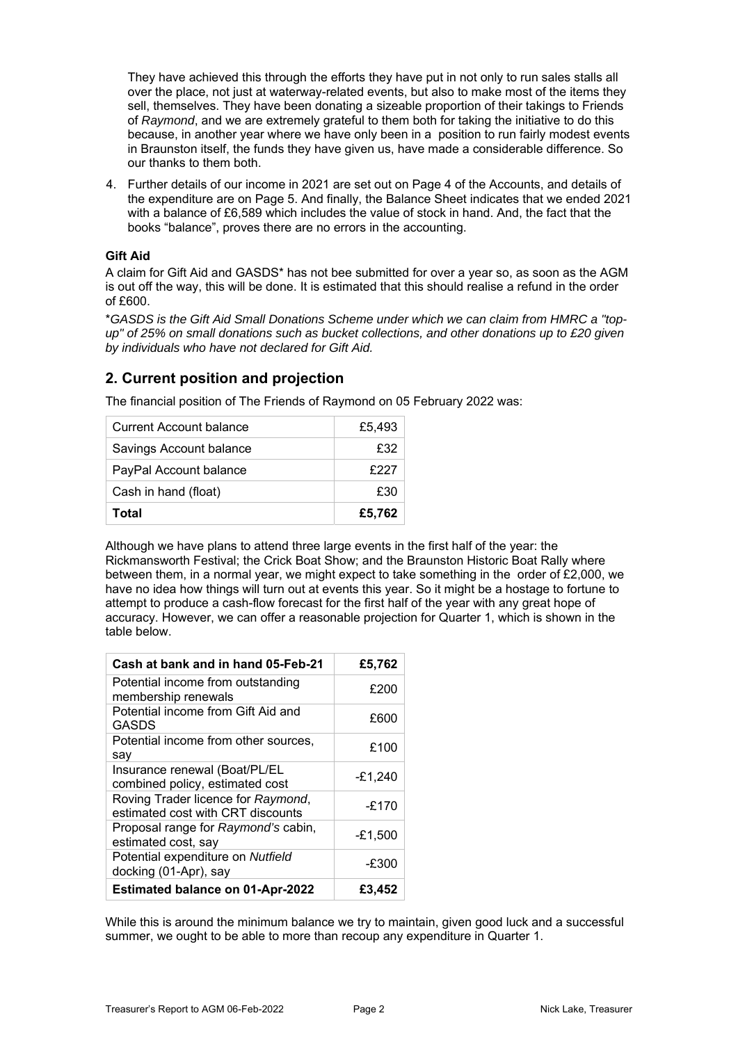They have achieved this through the efforts they have put in not only to run sales stalls all over the place, not just at waterway-related events, but also to make most of the items they sell, themselves. They have been donating a sizeable proportion of their takings to Friends of *Raymond*, and we are extremely grateful to them both for taking the initiative to do this because, in another year where we have only been in a position to run fairly modest events in Braunston itself, the funds they have given us, have made a considerable difference. So our thanks to them both.

4. Further details of our income in 2021 are set out on Page 4 of the Accounts, and details of the expenditure are on Page 5. And finally, the Balance Sheet indicates that we ended 2021 with a balance of £6,589 which includes the value of stock in hand. And, the fact that the books "balance", proves there are no errors in the accounting.

#### **Gift Aid**

A claim for Gift Aid and GASDS\* has not bee submitted for over a year so, as soon as the AGM is out off the way, this will be done. It is estimated that this should realise a refund in the order of £600.

\**GASDS is the Gift Aid Small Donations Scheme under which we can claim from HMRC a "topup" of 25% on small donations such as bucket collections, and other donations up to £20 given by individuals who have not declared for Gift Aid.*

## **2. Current position and projection**

The financial position of The Friends of Raymond on 05 February 2022 was:

| Total                          | £5,762 |
|--------------------------------|--------|
| Cash in hand (float)           | £30    |
| PayPal Account balance         | £227   |
| Savings Account balance        | £32    |
| <b>Current Account balance</b> | £5,493 |

Although we have plans to attend three large events in the first half of the year: the Rickmansworth Festival; the Crick Boat Show; and the Braunston Historic Boat Rally where between them, in a normal year, we might expect to take something in the order of £2,000, we have no idea how things will turn out at events this year. So it might be a hostage to fortune to attempt to produce a cash-flow forecast for the first half of the year with any great hope of accuracy. However, we can offer a reasonable projection for Quarter 1, which is shown in the table below.

| Cash at bank and in hand 05-Feb-21                                      | £5,762  |
|-------------------------------------------------------------------------|---------|
| Potential income from outstanding<br>membership renewals                | £200    |
| Potential income from Gift Aid and<br><b>GASDS</b>                      | £600    |
| Potential income from other sources,<br>say                             | £100    |
| Insurance renewal (Boat/PL/EL<br>combined policy, estimated cost        | -£1,240 |
| Roving Trader licence for Raymond,<br>estimated cost with CRT discounts | $-£170$ |
| Proposal range for Raymond's cabin,<br>estimated cost, say              | -£1,500 |
| Potential expenditure on Nutfield<br>docking (01-Apr), say              | -£300   |
| <b>Estimated balance on 01-Apr-2022</b>                                 | £3,452  |

While this is around the minimum balance we try to maintain, given good luck and a successful summer, we ought to be able to more than recoup any expenditure in Quarter 1.